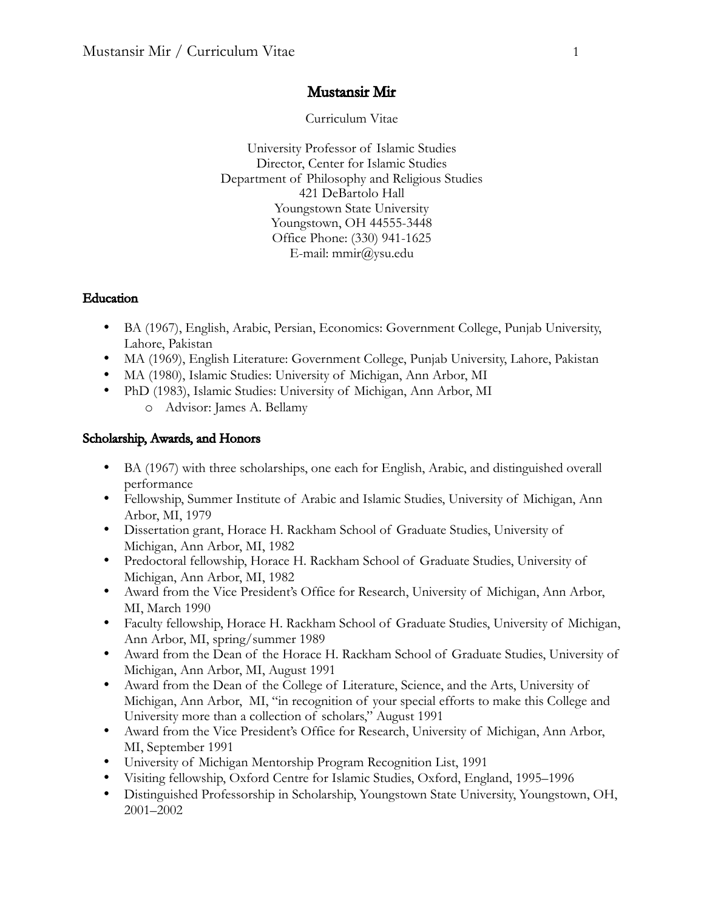## Mustansir Mir

Curriculum Vitae

University Professor of Islamic Studies Director, Center for Islamic Studies Department of Philosophy and Religious Studies 421 DeBartolo Hall Youngstown State University Youngstown, OH 44555-3448 Office Phone: (330) 941-1625 E-mail: mmir@ysu.edu

### Education

- BA (1967), English, Arabic, Persian, Economics: Government College, Punjab University, Lahore, Pakistan
- MA (1969), English Literature: Government College, Punjab University, Lahore, Pakistan
- MA (1980), Islamic Studies: University of Michigan, Ann Arbor, MI
- PhD (1983), Islamic Studies: University of Michigan, Ann Arbor, MI o Advisor: James A. Bellamy

## Scholarship, Awards, and Honors

- BA (1967) with three scholarships, one each for English, Arabic, and distinguished overall performance
- Fellowship, Summer Institute of Arabic and Islamic Studies, University of Michigan, Ann Arbor, MI, 1979
- Dissertation grant, Horace H. Rackham School of Graduate Studies, University of Michigan, Ann Arbor, MI, 1982
- Predoctoral fellowship, Horace H. Rackham School of Graduate Studies, University of Michigan, Ann Arbor, MI, 1982
- Award from the Vice President's Office for Research, University of Michigan, Ann Arbor, MI, March 1990
- Faculty fellowship, Horace H. Rackham School of Graduate Studies, University of Michigan, Ann Arbor, MI, spring/summer 1989
- Award from the Dean of the Horace H. Rackham School of Graduate Studies, University of Michigan, Ann Arbor, MI, August 1991
- Award from the Dean of the College of Literature, Science, and the Arts, University of Michigan, Ann Arbor, MI, "in recognition of your special efforts to make this College and University more than a collection of scholars," August 1991
- Award from the Vice President's Office for Research, University of Michigan, Ann Arbor, MI, September 1991
- University of Michigan Mentorship Program Recognition List, 1991
- Visiting fellowship, Oxford Centre for Islamic Studies, Oxford, England, 1995–1996
- Distinguished Professorship in Scholarship, Youngstown State University, Youngstown, OH, 2001–2002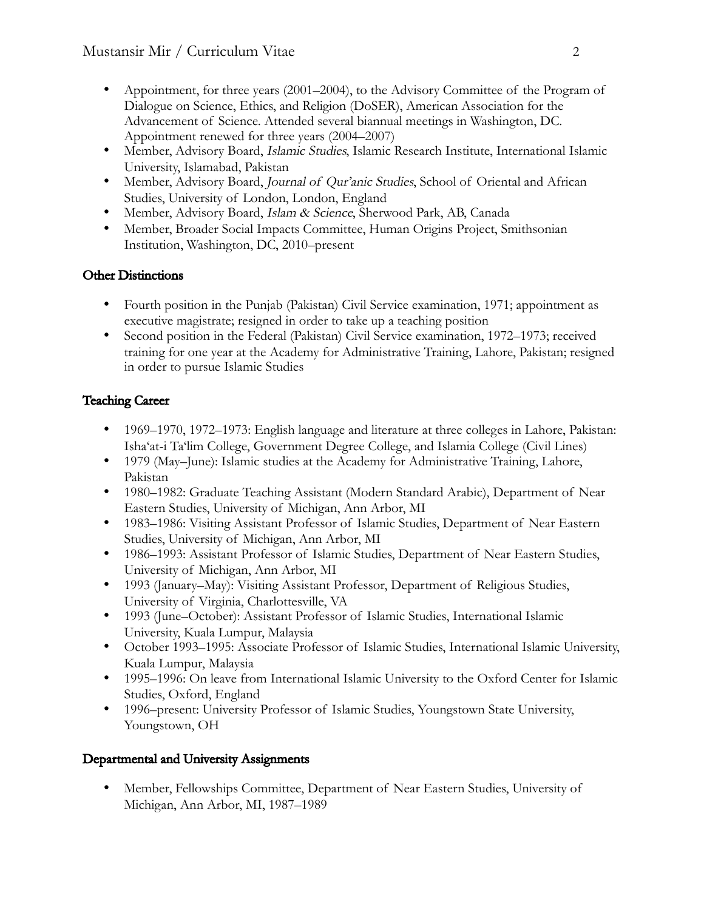- Appointment, for three years (2001–2004), to the Advisory Committee of the Program of Dialogue on Science, Ethics, and Religion (DoSER), American Association for the Advancement of Science. Attended several biannual meetings in Washington, DC. Appointment renewed for three years (2004–2007)
- Member, Advisory Board, Islamic Studies, Islamic Research Institute, International Islamic University, Islamabad, Pakistan
- Member, Advisory Board, Journal of Qur'anic Studies, School of Oriental and African Studies, University of London, London, England
- Member, Advisory Board, Islam & Science, Sherwood Park, AB, Canada
- Member, Broader Social Impacts Committee, Human Origins Project, Smithsonian Institution, Washington, DC, 2010–present

# Other Distinctions

- Fourth position in the Punjab (Pakistan) Civil Service examination, 1971; appointment as executive magistrate; resigned in order to take up a teaching position
- Second position in the Federal (Pakistan) Civil Service examination, 1972–1973; received training for one year at the Academy for Administrative Training, Lahore, Pakistan; resigned in order to pursue Islamic Studies

# Teaching Career

- 1969–1970, 1972–1973: English language and literature at three colleges in Lahore, Pakistan: Isha'at-i Ta'lim College, Government Degree College, and Islamia College (Civil Lines)
- 1979 (May–June): Islamic studies at the Academy for Administrative Training, Lahore, Pakistan
- 1980–1982: Graduate Teaching Assistant (Modern Standard Arabic), Department of Near Eastern Studies, University of Michigan, Ann Arbor, MI
- 1983–1986: Visiting Assistant Professor of Islamic Studies, Department of Near Eastern Studies, University of Michigan, Ann Arbor, MI
- 1986–1993: Assistant Professor of Islamic Studies, Department of Near Eastern Studies, University of Michigan, Ann Arbor, MI
- 1993 (January–May): Visiting Assistant Professor, Department of Religious Studies, University of Virginia, Charlottesville, VA
- 1993 (June–October): Assistant Professor of Islamic Studies, International Islamic University, Kuala Lumpur, Malaysia
- October 1993–1995: Associate Professor of Islamic Studies, International Islamic University, Kuala Lumpur, Malaysia
- 1995–1996: On leave from International Islamic University to the Oxford Center for Islamic Studies, Oxford, England
- 1996–present: University Professor of Islamic Studies, Youngstown State University, Youngstown, OH

# Departmental and University Assignments

• Member, Fellowships Committee, Department of Near Eastern Studies, University of Michigan, Ann Arbor, MI, 1987–1989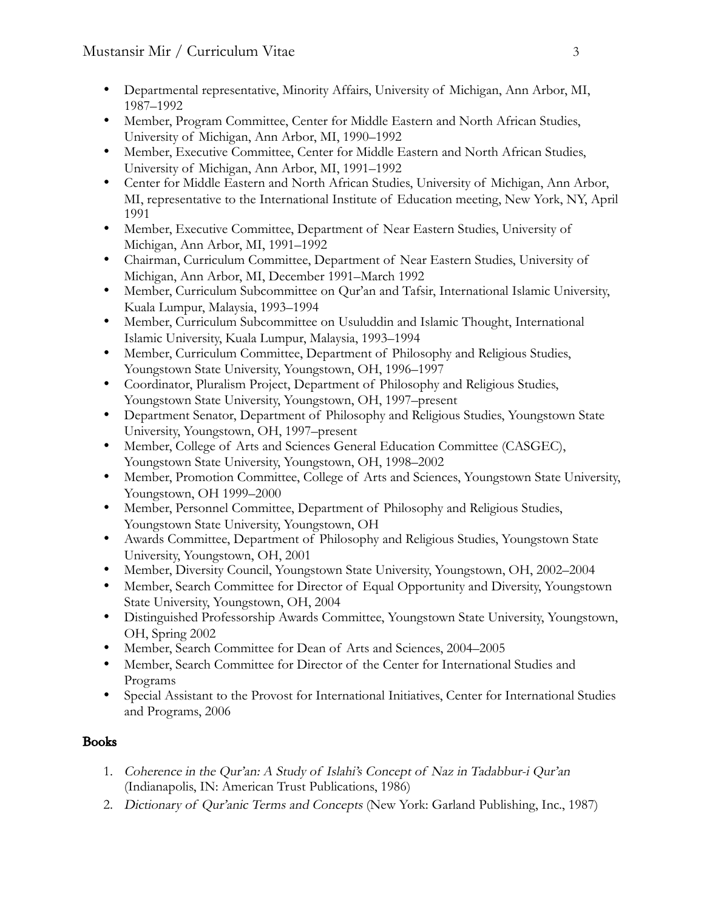- Departmental representative, Minority Affairs, University of Michigan, Ann Arbor, MI, 1987–1992
- Member, Program Committee, Center for Middle Eastern and North African Studies, University of Michigan, Ann Arbor, MI, 1990–1992
- Member, Executive Committee, Center for Middle Eastern and North African Studies, University of Michigan, Ann Arbor, MI, 1991–1992
- Center for Middle Eastern and North African Studies, University of Michigan, Ann Arbor, MI, representative to the International Institute of Education meeting, New York, NY, April 1991
- Member, Executive Committee, Department of Near Eastern Studies, University of Michigan, Ann Arbor, MI, 1991–1992
- Chairman, Curriculum Committee, Department of Near Eastern Studies, University of Michigan, Ann Arbor, MI, December 1991–March 1992
- Member, Curriculum Subcommittee on Qur'an and Tafsir, International Islamic University, Kuala Lumpur, Malaysia, 1993–1994
- Member, Curriculum Subcommittee on Usuluddin and Islamic Thought, International Islamic University, Kuala Lumpur, Malaysia, 1993–1994
- Member, Curriculum Committee, Department of Philosophy and Religious Studies, Youngstown State University, Youngstown, OH, 1996–1997
- Coordinator, Pluralism Project, Department of Philosophy and Religious Studies, Youngstown State University, Youngstown, OH, 1997–present
- Department Senator, Department of Philosophy and Religious Studies, Youngstown State University, Youngstown, OH, 1997–present
- Member, College of Arts and Sciences General Education Committee (CASGEC), Youngstown State University, Youngstown, OH, 1998–2002
- Member, Promotion Committee, College of Arts and Sciences, Youngstown State University, Youngstown, OH 1999–2000
- Member, Personnel Committee, Department of Philosophy and Religious Studies, Youngstown State University, Youngstown, OH
- Awards Committee, Department of Philosophy and Religious Studies, Youngstown State University, Youngstown, OH, 2001
- Member, Diversity Council, Youngstown State University, Youngstown, OH, 2002–2004
- Member, Search Committee for Director of Equal Opportunity and Diversity, Youngstown State University, Youngstown, OH, 2004
- Distinguished Professorship Awards Committee, Youngstown State University, Youngstown, OH, Spring 2002
- Member, Search Committee for Dean of Arts and Sciences, 2004–2005
- Member, Search Committee for Director of the Center for International Studies and Programs
- Special Assistant to the Provost for International Initiatives, Center for International Studies and Programs, 2006

# Books

- 1. Coherence in the Qur'an: A Study of Islahi's Concept of Naz in Tadabbur-i Qur'an (Indianapolis, IN: American Trust Publications, 1986)
- 2. Dictionary of Qur'anic Terms and Concepts (New York: Garland Publishing, Inc., 1987)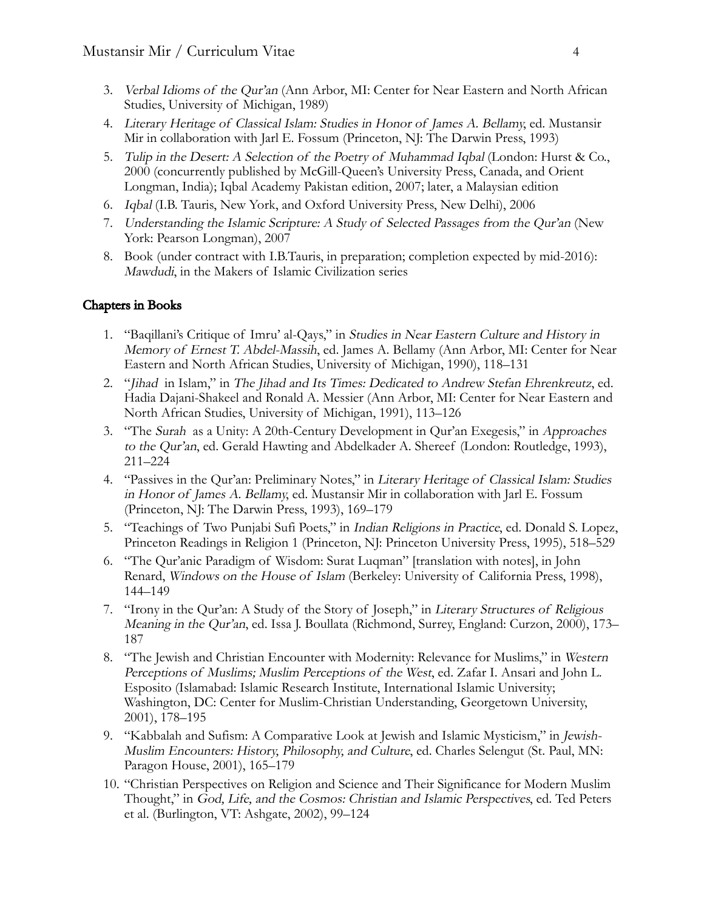- 3. Verbal Idioms of the Qur'an (Ann Arbor, MI: Center for Near Eastern and North African Studies, University of Michigan, 1989)
- 4. Literary Heritage of Classical Islam: Studies in Honor of James A. Bellamy, ed. Mustansir Mir in collaboration with Jarl E. Fossum (Princeton, NJ: The Darwin Press, 1993)
- 5. Tulip in the Desert: A Selection of the Poetry of Muhammad Iqbal (London: Hurst & Co., 2000 (concurrently published by McGill-Queen's University Press, Canada, and Orient Longman, India); Iqbal Academy Pakistan edition, 2007; later, a Malaysian edition
- 6. Iqbal (I.B. Tauris, New York, and Oxford University Press, New Delhi), 2006
- 7. Understanding the Islamic Scripture: A Study of Selected Passages from the Qur'an (New York: Pearson Longman), 2007
- 8. Book (under contract with I.B.Tauris, in preparation; completion expected by mid-2016): Mawdudi, in the Makers of Islamic Civilization series

#### Chapters in Books

- 1. "Baqillani's Critique of Imru' al-Qays," in Studies in Near Eastern Culture and History in Memory of Ernest T. Abdel-Massih, ed. James A. Bellamy (Ann Arbor, MI: Center for Near Eastern and North African Studies, University of Michigan, 1990), 118–131
- 2. "Jihad in Islam," in The Jihad and Its Times: Dedicated to Andrew Stefan Ehrenkreutz, ed. Hadia Dajani-Shakeel and Ronald A. Messier (Ann Arbor, MI: Center for Near Eastern and North African Studies, University of Michigan, 1991), 113–126
- 3. "The Surah as a Unity: A 20th-Century Development in Qur'an Exegesis," in Approaches to the Qur'an, ed. Gerald Hawting and Abdelkader A. Shereef (London: Routledge, 1993), 211–224
- 4. "Passives in the Qur'an: Preliminary Notes," in Literary Heritage of Classical Islam: Studies in Honor of James A. Bellamy, ed. Mustansir Mir in collaboration with Jarl E. Fossum (Princeton, NJ: The Darwin Press, 1993), 169–179
- 5. "Teachings of Two Punjabi Sufi Poets," in Indian Religions in Practice, ed. Donald S. Lopez, Princeton Readings in Religion 1 (Princeton, NJ: Princeton University Press, 1995), 518–529
- 6. "The Qur'anic Paradigm of Wisdom: Surat Luqman" [translation with notes], in John Renard, Windows on the House of Islam (Berkeley: University of California Press, 1998), 144–149
- 7. "Irony in the Qur'an: A Study of the Story of Joseph," in Literary Structures of Religious Meaning in the Qur'an, ed. Issa J. Boullata (Richmond, Surrey, England: Curzon, 2000), 173– 187
- 8. "The Jewish and Christian Encounter with Modernity: Relevance for Muslims," in Western Perceptions of Muslims; Muslim Perceptions of the West, ed. Zafar I. Ansari and John L. Esposito (Islamabad: Islamic Research Institute, International Islamic University; Washington, DC: Center for Muslim-Christian Understanding, Georgetown University, 2001), 178–195
- 9. "Kabbalah and Sufism: A Comparative Look at Jewish and Islamic Mysticism," in Jewish-Muslim Encounters: History, Philosophy, and Culture, ed. Charles Selengut (St. Paul, MN: Paragon House, 2001), 165–179
- 10. "Christian Perspectives on Religion and Science and Their Significance for Modern Muslim Thought," in God, Life, and the Cosmos: Christian and Islamic Perspectives, ed. Ted Peters et al. (Burlington, VT: Ashgate, 2002), 99–124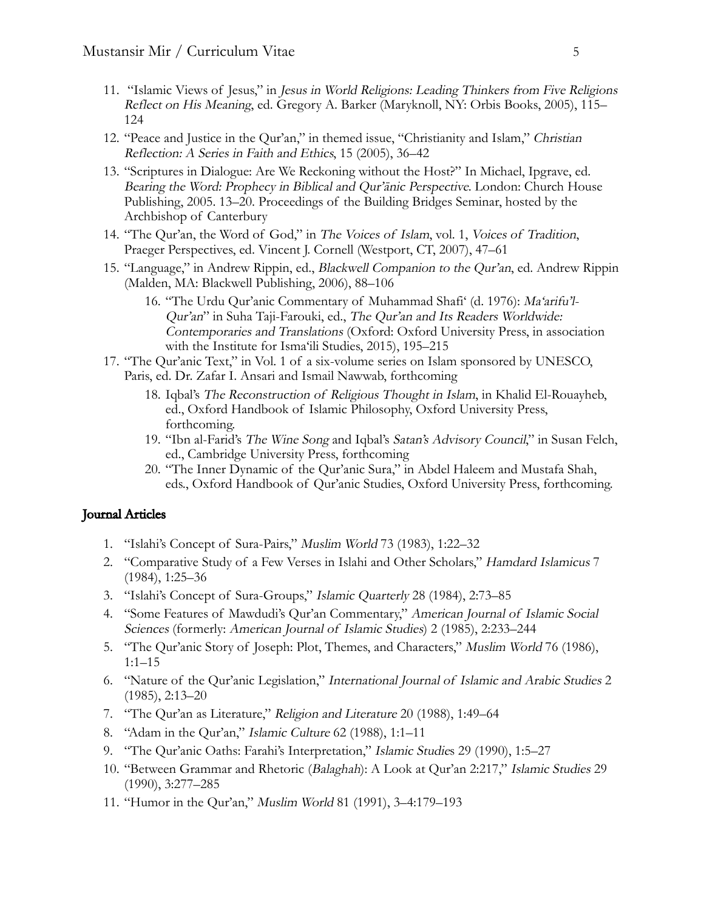- 11. "Islamic Views of Jesus," in Jesus in World Religions: Leading Thinkers from Five Religions Reflect on His Meaning, ed. Gregory A. Barker (Maryknoll, NY: Orbis Books, 2005), 115– 124
- 12. "Peace and Justice in the Qur'an," in themed issue, "Christianity and Islam," Christian Reflection: A Series in Faith and Ethics, 15 (2005), 36–42
- 13. "Scriptures in Dialogue: Are We Reckoning without the Host?" In Michael, Ipgrave, ed. Bearing the Word: Prophecy in Biblical and Qur'ānic Perspective. London: Church House Publishing, 2005. 13–20. Proceedings of the Building Bridges Seminar, hosted by the Archbishop of Canterbury
- 14. "The Qur'an, the Word of God," in The Voices of Islam, vol. 1, Voices of Tradition, Praeger Perspectives, ed. Vincent J. Cornell (Westport, CT, 2007), 47–61
- 15. "Language," in Andrew Rippin, ed., Blackwell Companion to the Qur'an, ed. Andrew Rippin (Malden, MA: Blackwell Publishing, 2006), 88–106
	- 16. "The Urdu Qur'anic Commentary of Muhammad Shafi' (d. 1976): Ma'arifu'l-Qur'an" in Suha Taji-Farouki, ed., The Qur'an and Its Readers Worldwide: Contemporaries and Translations (Oxford: Oxford University Press, in association with the Institute for Isma'ili Studies, 2015), 195–215
- 17. "The Qur'anic Text," in Vol. 1 of a six-volume series on Islam sponsored by UNESCO, Paris, ed. Dr. Zafar I. Ansari and Ismail Nawwab, forthcoming
	- 18. Iqbal's The Reconstruction of Religious Thought in Islam, in Khalid El-Rouayheb, ed., Oxford Handbook of Islamic Philosophy, Oxford University Press, forthcoming.
	- 19. "Ibn al-Farid's The Wine Song and Iqbal's Satan's Advisory Council," in Susan Felch, ed., Cambridge University Press, forthcoming
	- 20. "The Inner Dynamic of the Qur'anic Sura," in Abdel Haleem and Mustafa Shah, eds., Oxford Handbook of Qur'anic Studies, Oxford University Press, forthcoming.

#### Journal Articles

- 1. "Islahi's Concept of Sura-Pairs," Muslim World 73 (1983), 1:22–32
- 2. "Comparative Study of a Few Verses in Islahi and Other Scholars," Hamdard Islamicus 7 (1984), 1:25–36
- 3. "Islahi's Concept of Sura-Groups," Islamic Quarterly 28 (1984), 2:73–85
- 4. "Some Features of Mawdudi's Qur'an Commentary," American Journal of Islamic Social Sciences (formerly: American Journal of Islamic Studies) 2 (1985), 2:233–244
- 5. "The Qur'anic Story of Joseph: Plot, Themes, and Characters," Muslim World 76 (1986), 1:1–15
- 6. "Nature of the Qur'anic Legislation," International Journal of Islamic and Arabic Studies 2 (1985), 2:13–20
- 7. "The Qur'an as Literature," Religion and Literature 20 (1988), 1:49–64
- 8. "Adam in the Qur'an," Islamic Culture 62 (1988), 1:1–11
- 9. "The Qur'anic Oaths: Farahi's Interpretation," Islamic Studies 29 (1990), 1:5–27
- 10. "Between Grammar and Rhetoric (Balaghah): A Look at Qur'an 2:217," Islamic Studies 29 (1990), 3:277–285
- 11. "Humor in the Qur'an," Muslim World 81 (1991), 3–4:179–193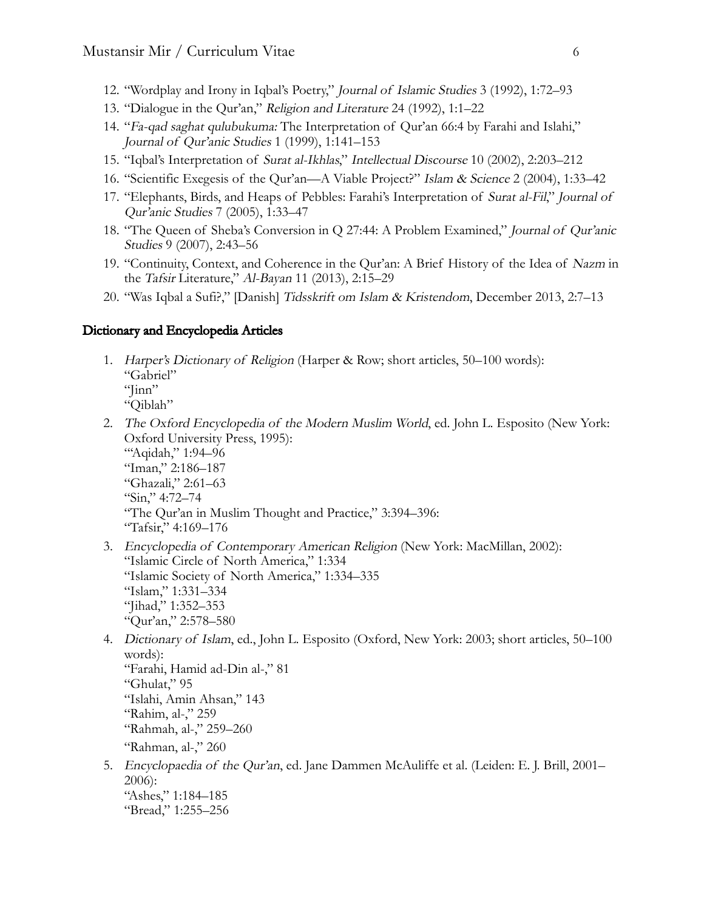- 12. "Wordplay and Irony in Iqbal's Poetry," Journal of Islamic Studies 3 (1992), 1:72–93
- 13. "Dialogue in the Qur'an," Religion and Literature 24 (1992), 1:1–22
- 14. "Fa-qad saghat qulubukuma: The Interpretation of Qur'an 66:4 by Farahi and Islahi," Journal of Qur'anic Studies 1 (1999), 1:141–153
- 15. "Iqbal's Interpretation of Surat al-Ikhlas," Intellectual Discourse 10 (2002), 2:203–212
- 16. "Scientific Exegesis of the Qur'an—A Viable Project?" Islam & Science 2 (2004), 1:33–42
- 17. "Elephants, Birds, and Heaps of Pebbles: Farahi's Interpretation of Surat al-Fil," Journal of Qur'anic Studies 7 (2005), 1:33–47
- 18. "The Queen of Sheba's Conversion in Q 27:44: A Problem Examined," Journal of Qur'anic Studies 9 (2007), 2:43–56
- 19. "Continuity, Context, and Coherence in the Qur'an: A Brief History of the Idea of Nazm in the Tafsir Literature," Al-Bayan 11 (2013), 2:15–29
- 20. "Was Iqbal a Sufi?," [Danish] Tidsskrift om Islam & Kristendom, December 2013, 2:7–13

#### Dictionary and Encyclopedia Articles

- 1. Harper's Dictionary of Religion (Harper & Row; short articles, 50–100 words): "Gabriel" " $\lim$ " "Qiblah"
- 2. The Oxford Encyclopedia of the Modern Muslim World, ed. John L. Esposito (New York: Oxford University Press, 1995): "Aqidah," 1:94–96 "Iman," 2:186–187 "Ghazali," 2:61–63 "Sin," 4:72–74
	- "The Qur'an in Muslim Thought and Practice," 3:394–396: "Tafsir," 4:169–176
- 3. Encyclopedia of Contemporary American Religion (New York: MacMillan, 2002): "Islamic Circle of North America," 1:334 "Islamic Society of North America," 1:334–335 "Islam," 1:331–334 "Jihad," 1:352–353 "Qur'an," 2:578–580
- 4. Dictionary of Islam, ed., John L. Esposito (Oxford, New York: 2003; short articles, 50–100 words): "Farahi, Hamid ad-Din al-," 81 "Ghulat," 95 "Islahi, Amin Ahsan," 143 "Rahim, al-," 259 "Rahmah, al-," 259–260 "Rahman, al-," 260
- 5. Encyclopaedia of the Our'an, ed. Jane Dammen McAuliffe et al. (Leiden: E. J. Brill, 2001– 2006): "Ashes," 1:184–185 "Bread," 1:255–256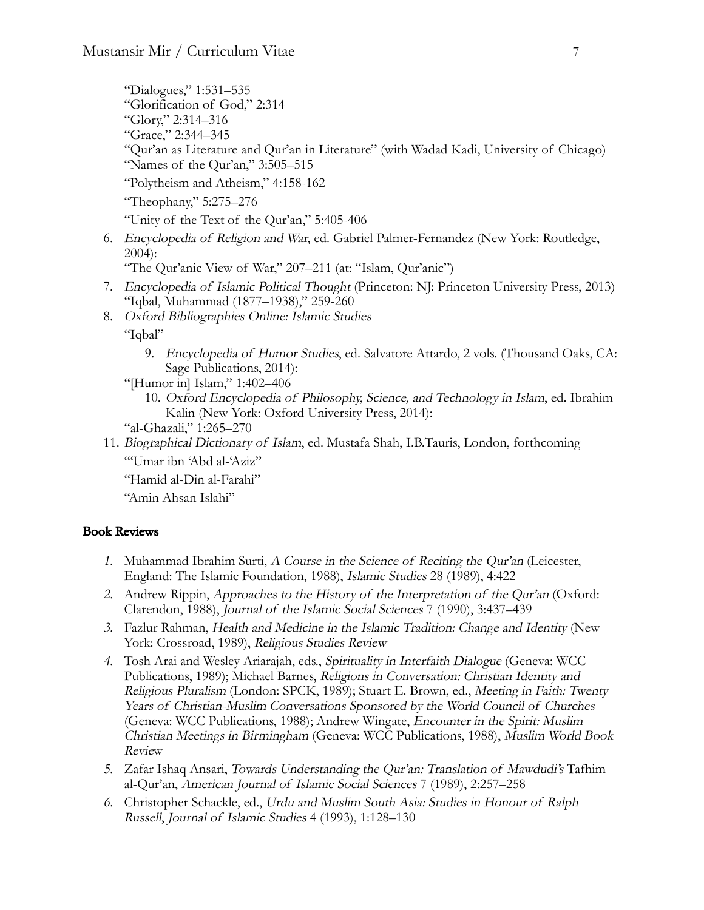"Dialogues," 1:531–535 "Glorification of God," 2:314 "Glory," 2:314–316 "Grace," 2:344–345 "Qur'an as Literature and Qur'an in Literature" (with Wadad Kadi, University of Chicago) "Names of the Qur'an," 3:505–515 "Polytheism and Atheism," 4:158-162

"Theophany," 5:275–276

"Unity of the Text of the Qur'an," 5:405-406

6. Encyclopedia of Religion and War, ed. Gabriel Palmer-Fernandez (New York: Routledge, 2004):

"The Qur'anic View of War," 207–211 (at: "Islam, Qur'anic")

- 7. Encyclopedia of Islamic Political Thought (Princeton: NJ: Princeton University Press, 2013) "Iqbal, Muhammad (1877–1938)," 259-260
- 8. Oxford Bibliographies Online: Islamic Studies "Iqbal"
	- 9. Encyclopedia of Humor Studies, ed. Salvatore Attardo, 2 vols. (Thousand Oaks, CA: Sage Publications, 2014):
	- "[Humor in] Islam," 1:402–406
		- 10. Oxford Encyclopedia of Philosophy, Science, and Technology in Islam, ed. Ibrahim Kalin (New York: Oxford University Press, 2014):
	- "al-Ghazali," 1:265–270
- 11. Biographical Dictionary of Islam, ed. Mustafa Shah, I.B.Tauris, London, forthcoming "'Umar ibn 'Abd al-'Aziz"
	- "Hamid al-Din al-Farahi"

"Amin Ahsan Islahi"

### Book Reviews

- 1. Muhammad Ibrahim Surti, A Course in the Science of Reciting the Qur'an (Leicester, England: The Islamic Foundation, 1988), Islamic Studies 28 (1989), 4:422
- 2. Andrew Rippin, Approaches to the History of the Interpretation of the Qur'an (Oxford: Clarendon, 1988), Journal of the Islamic Social Sciences 7 (1990), 3:437–439
- 3. Fazlur Rahman, Health and Medicine in the Islamic Tradition: Change and Identity (New York: Crossroad, 1989), Religious Studies Review
- 4. Tosh Arai and Wesley Ariarajah, eds., Spirituality in Interfaith Dialogue (Geneva: WCC Publications, 1989); Michael Barnes, Religions in Conversation: Christian Identity and Religious Pluralism (London: SPCK, 1989); Stuart E. Brown, ed., Meeting in Faith: Twenty Years of Christian-Muslim Conversations Sponsored by the World Council of Churches (Geneva: WCC Publications, 1988); Andrew Wingate, Encounter in the Spirit: Muslim Christian Meetings in Birmingham (Geneva: WCC Publications, 1988), Muslim World Book Review
- 5. Zafar Ishaq Ansari, Towards Understanding the Qur'an: Translation of Mawdudi's Tafhim al-Qur'an, American Journal of Islamic Social Sciences 7 (1989), 2:257–258
- 6. Christopher Schackle, ed., Urdu and Muslim South Asia: Studies in Honour of Ralph Russell, Journal of Islamic Studies 4 (1993), 1:128–130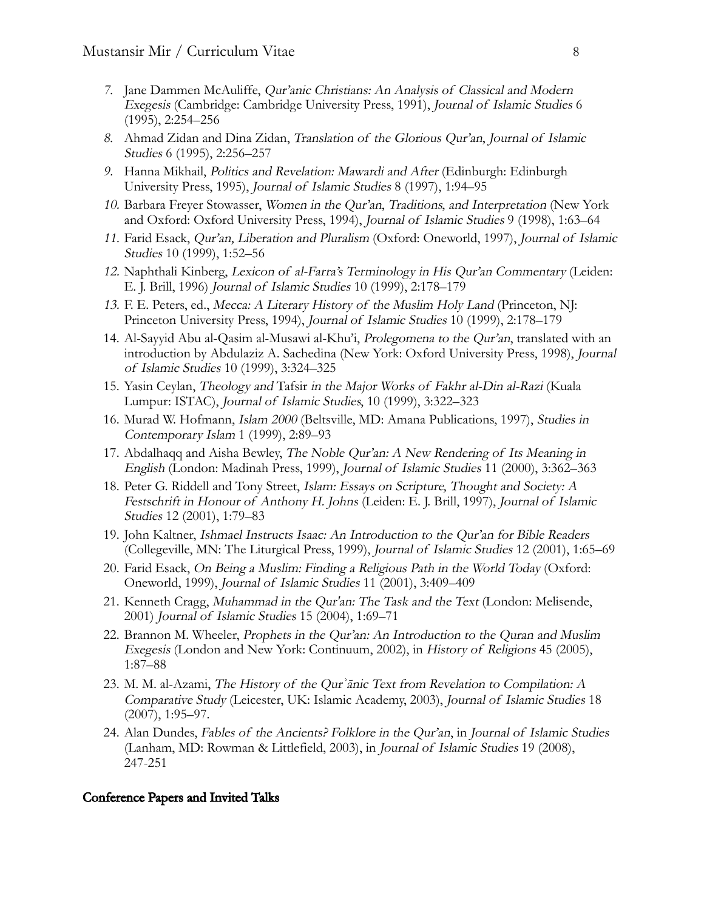- 7. Jane Dammen McAuliffe, Qur'anic Christians: An Analysis of Classical and Modern Exegesis (Cambridge: Cambridge University Press, 1991), Journal of Islamic Studies 6 (1995), 2:254–256
- 8. Ahmad Zidan and Dina Zidan, Translation of the Glorious Qur'an, Journal of Islamic Studies 6 (1995), 2:256–257
- 9. Hanna Mikhail, Politics and Revelation: Mawardi and After (Edinburgh: Edinburgh University Press, 1995), Journal of Islamic Studies 8 (1997), 1:94–95
- 10. Barbara Freyer Stowasser, Women in the Qur'an, Traditions, and Interpretation (New York and Oxford: Oxford University Press, 1994), Journal of Islamic Studies 9 (1998), 1:63–64
- 11. Farid Esack, Qur'an, Liberation and Pluralism (Oxford: Oneworld, 1997), Journal of Islamic Studies 10 (1999), 1:52–56
- 12. Naphthali Kinberg, Lexicon of al-Farra's Terminology in His Qur'an Commentary (Leiden: E. J. Brill, 1996) Journal of Islamic Studies 10 (1999), 2:178–179
- 13. F. E. Peters, ed., Mecca: A Literary History of the Muslim Holy Land (Princeton, NJ: Princeton University Press, 1994), Journal of Islamic Studies 10 (1999), 2:178–179
- 14. Al-Sayyid Abu al-Qasim al-Musawi al-Khu'i, Prolegomena to the Qur'an, translated with an introduction by Abdulaziz A. Sachedina (New York: Oxford University Press, 1998), Journal of Islamic Studies 10 (1999), 3:324–325
- 15. Yasin Ceylan, Theology and Tafsir in the Major Works of Fakhr al-Din al-Razi (Kuala Lumpur: ISTAC), Journal of Islamic Studies, 10 (1999), 3:322–323
- 16. Murad W. Hofmann, Islam 2000 (Beltsville, MD: Amana Publications, 1997), Studies in Contemporary Islam 1 (1999), 2:89–93
- 17. Abdalhaqq and Aisha Bewley, The Noble Qur'an: A New Rendering of Its Meaning in English (London: Madinah Press, 1999), Journal of Islamic Studies 11 (2000), 3:362–363
- 18. Peter G. Riddell and Tony Street, Islam: Essays on Scripture, Thought and Society: A Festschrift in Honour of Anthony H. Johns (Leiden: E. J. Brill, 1997), Journal of Islamic Studies 12 (2001), 1:79–83
- 19. John Kaltner, Ishmael Instructs Isaac: An Introduction to the Qur'an for Bible Readers (Collegeville, MN: The Liturgical Press, 1999), Journal of Islamic Studies 12 (2001), 1:65–69
- 20. Farid Esack, On Being a Muslim: Finding a Religious Path in the World Today (Oxford: Oneworld, 1999), Journal of Islamic Studies 11 (2001), 3:409–409
- 21. Kenneth Cragg, Muhammad in the Qur'an: The Task and the Text (London: Melisende, 2001) Journal of Islamic Studies 15 (2004), 1:69–71
- 22. Brannon M. Wheeler, Prophets in the Qur'an: An Introduction to the Quran and Muslim Exegesis (London and New York: Continuum, 2002), in History of Religions 45 (2005), 1:87–88
- 23. M. M. al-Azami, The History of the Qur*ʾ*ānic Text from Revelation to Compilation: A Comparative Study (Leicester, UK: Islamic Academy, 2003), Journal of Islamic Studies 18 (2007), 1:95–97.
- 24. Alan Dundes, Fables of the Ancients? Folklore in the Qur'an, in Journal of Islamic Studies (Lanham, MD: Rowman & Littlefield, 2003), in Journal of Islamic Studies 19 (2008), 247-251

#### Conference Papers and Invited Talks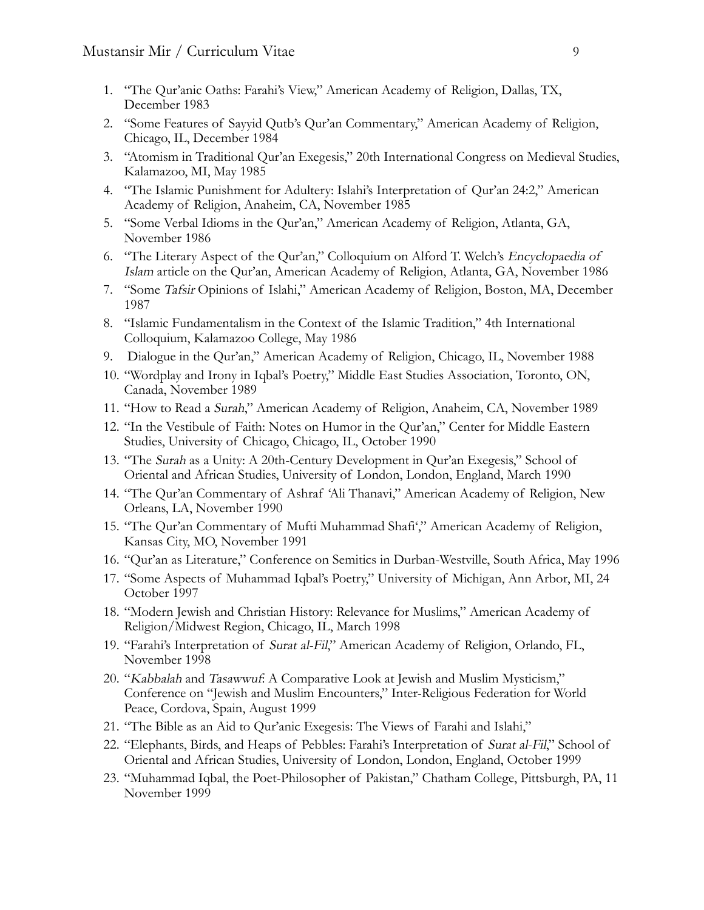- 1. "The Qur'anic Oaths: Farahi's View," American Academy of Religion, Dallas, TX, December 1983
- 2. "Some Features of Sayyid Qutb's Qur'an Commentary," American Academy of Religion, Chicago, IL, December 1984
- 3. "Atomism in Traditional Qur'an Exegesis," 20th International Congress on Medieval Studies, Kalamazoo, MI, May 1985
- 4. "The Islamic Punishment for Adultery: Islahi's Interpretation of Qur'an 24:2," American Academy of Religion, Anaheim, CA, November 1985
- 5. "Some Verbal Idioms in the Qur'an," American Academy of Religion, Atlanta, GA, November 1986
- 6. "The Literary Aspect of the Qur'an," Colloquium on Alford T. Welch's Encyclopaedia of Islam article on the Qur'an, American Academy of Religion, Atlanta, GA, November 1986
- 7. "Some Tafsir Opinions of Islahi," American Academy of Religion, Boston, MA, December 1987
- 8. "Islamic Fundamentalism in the Context of the Islamic Tradition," 4th International Colloquium, Kalamazoo College, May 1986
- 9. Dialogue in the Qur'an," American Academy of Religion, Chicago, IL, November 1988
- 10. "Wordplay and Irony in Iqbal's Poetry," Middle East Studies Association, Toronto, ON, Canada, November 1989
- 11. "How to Read a Surah," American Academy of Religion, Anaheim, CA, November 1989
- 12. "In the Vestibule of Faith: Notes on Humor in the Qur'an," Center for Middle Eastern Studies, University of Chicago, Chicago, IL, October 1990
- 13. "The Surah as a Unity: A 20th-Century Development in Qur'an Exegesis," School of Oriental and African Studies, University of London, London, England, March 1990
- 14. "The Qur'an Commentary of Ashraf 'Ali Thanavi," American Academy of Religion, New Orleans, LA, November 1990
- 15. "The Qur'an Commentary of Mufti Muhammad Shafi'," American Academy of Religion, Kansas City, MO, November 1991
- 16. "Qur'an as Literature," Conference on Semitics in Durban-Westville, South Africa, May 1996
- 17. "Some Aspects of Muhammad Iqbal's Poetry," University of Michigan, Ann Arbor, MI, 24 October 1997
- 18. "Modern Jewish and Christian History: Relevance for Muslims," American Academy of Religion/Midwest Region, Chicago, IL, March 1998
- 19. "Farahi's Interpretation of Surat al-Fil," American Academy of Religion, Orlando, FL, November 1998
- 20. "Kabbalah and Tasawwuf: A Comparative Look at Jewish and Muslim Mysticism," Conference on "Jewish and Muslim Encounters," Inter-Religious Federation for World Peace, Cordova, Spain, August 1999
- 21. "The Bible as an Aid to Qur'anic Exegesis: The Views of Farahi and Islahi,"
- 22. "Elephants, Birds, and Heaps of Pebbles: Farahi's Interpretation of Surat al-Fil," School of Oriental and African Studies, University of London, London, England, October 1999
- 23. "Muhammad Iqbal, the Poet-Philosopher of Pakistan," Chatham College, Pittsburgh, PA, 11 November 1999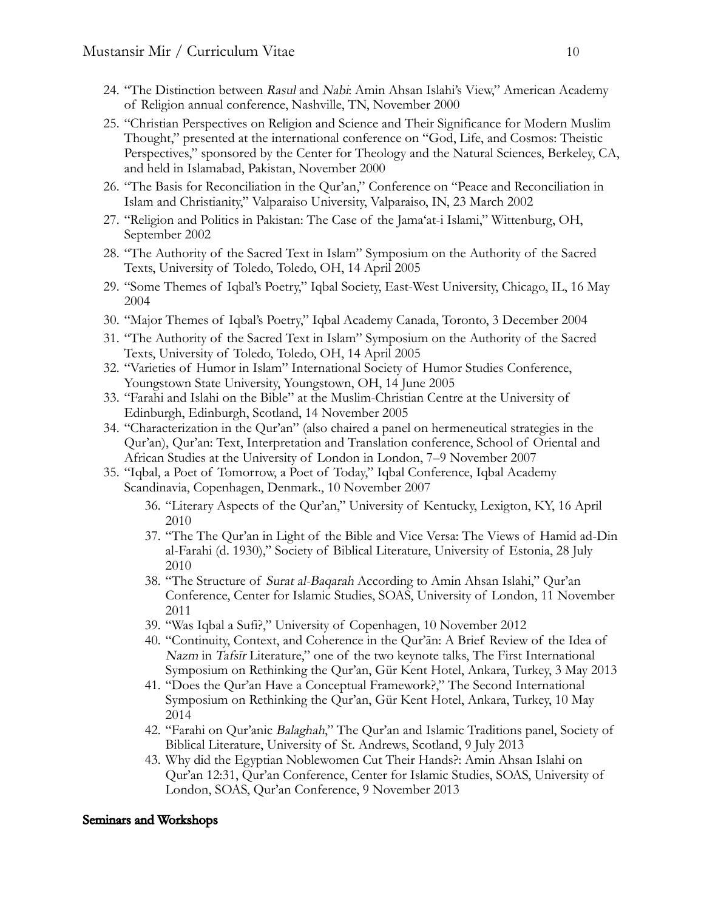- 24. "The Distinction between Rasul and Nabi: Amin Ahsan Islahi's View," American Academy of Religion annual conference, Nashville, TN, November 2000
- 25. "Christian Perspectives on Religion and Science and Their Significance for Modern Muslim Thought," presented at the international conference on "God, Life, and Cosmos: Theistic Perspectives," sponsored by the Center for Theology and the Natural Sciences, Berkeley, CA, and held in Islamabad, Pakistan, November 2000
- 26. "The Basis for Reconciliation in the Qur'an," Conference on "Peace and Reconciliation in Islam and Christianity," Valparaiso University, Valparaiso, IN, 23 March 2002
- 27. "Religion and Politics in Pakistan: The Case of the Jama'at-i Islami," Wittenburg, OH, September 2002
- 28. "The Authority of the Sacred Text in Islam" Symposium on the Authority of the Sacred Texts, University of Toledo, Toledo, OH, 14 April 2005
- 29. "Some Themes of Iqbal's Poetry," Iqbal Society, East-West University, Chicago, IL, 16 May 2004
- 30. "Major Themes of Iqbal's Poetry," Iqbal Academy Canada, Toronto, 3 December 2004
- 31. "The Authority of the Sacred Text in Islam" Symposium on the Authority of the Sacred Texts, University of Toledo, Toledo, OH, 14 April 2005
- 32. "Varieties of Humor in Islam" International Society of Humor Studies Conference, Youngstown State University, Youngstown, OH, 14 June 2005
- 33. "Farahi and Islahi on the Bible" at the Muslim-Christian Centre at the University of Edinburgh, Edinburgh, Scotland, 14 November 2005
- 34. "Characterization in the Qur'an" (also chaired a panel on hermeneutical strategies in the Qur'an), Qur'an: Text, Interpretation and Translation conference, School of Oriental and African Studies at the University of London in London, 7–9 November 2007
- 35. "Iqbal, a Poet of Tomorrow, a Poet of Today," Iqbal Conference, Iqbal Academy Scandinavia, Copenhagen, Denmark., 10 November 2007
	- 36. "Literary Aspects of the Qur'an," University of Kentucky, Lexigton, KY, 16 April 2010
	- 37. "The The Qur'an in Light of the Bible and Vice Versa: The Views of Hamid ad-Din al-Farahi (d. 1930)," Society of Biblical Literature, University of Estonia, 28 July 2010
	- 38. "The Structure of Surat al-Baqarah According to Amin Ahsan Islahi," Qur'an Conference, Center for Islamic Studies, SOAS, University of London, 11 November 2011
	- 39. "Was Iqbal a Sufi?," University of Copenhagen, 10 November 2012
	- 40. "Continuity, Context, and Coherence in the Qur'ān: A Brief Review of the Idea of Nazm in Tafsīr Literature," one of the two keynote talks, The First International Symposium on Rethinking the Qur'an, Gür Kent Hotel, Ankara, Turkey, 3 May 2013
	- 41. "Does the Qur'an Have a Conceptual Framework?," The Second International Symposium on Rethinking the Qur'an, Gür Kent Hotel, Ankara, Turkey, 10 May 2014
	- 42. "Farahi on Qur'anic Balaghah," The Qur'an and Islamic Traditions panel, Society of Biblical Literature, University of St. Andrews, Scotland, 9 July 2013
	- 43. Why did the Egyptian Noblewomen Cut Their Hands?: Amin Ahsan Islahi on Qur'an 12:31, Qur'an Conference, Center for Islamic Studies, SOAS, University of London, SOAS, Qur'an Conference, 9 November 2013

#### Seminars and Workshops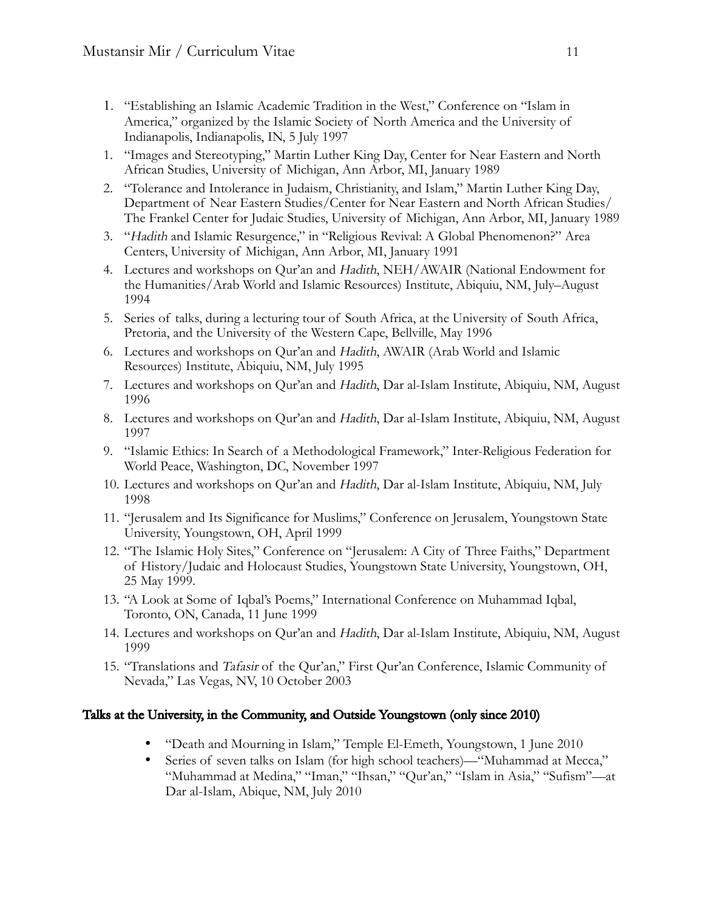- 1. "Establishing an Islamic Academic Tradition in the West," Conference on "Islam in America," organized by the Islamic Society of North America and the University of Indianapolis, Indianapolis, IN, 5 July 1997
- 1. "Images and Stereotyping," Martin Luther King Day, Center for Near Eastern and North African Studies, University of Michigan, Ann Arbor, MI, January 1989
- 2. "Tolerance and Intolerance in Judaism, Christianity, and Islam," Martin Luther King Day, Department of Near Eastern Studies/Center for Near Eastern and North African Studies/ The Frankel Center for Judaic Studies, University of Michigan, Ann Arbor, MI, January 1989
- 3. "Hadith and Islamic Resurgence," in "Religious Revival: A Global Phenomenon?" Area Centers, University of Michigan, Ann Arbor, MI, January 1991
- 4. Lectures and workshops on Qur'an and Hadith, NEH/AWAIR (National Endowment for the Humanities/Arab World and Islamic Resources) Institute, Abiquiu, NM, July–August 1994
- 5. Series of talks, during a lecturing tour of South Africa, at the University of South Africa, Pretoria, and the University of the Western Cape, Bellville, May 1996
- 6. Lectures and workshops on Qur'an and Hadith, AWAIR (Arab World and Islamic Resources) Institute, Abiquiu, NM, July 1995
- 7. Lectures and workshops on Qur'an and Hadith, Dar al-Islam Institute, Abiquiu, NM, August 1996
- 8. Lectures and workshops on Qur'an and Hadith, Dar al-Islam Institute, Abiquiu, NM, August 1997
- 9. "Islamic Ethics: In Search of a Methodological Framework," Inter-Religious Federation for World Peace, Washington, DC, November 1997
- 10. Lectures and workshops on Qur'an and Hadith, Dar al-Islam Institute, Abiquiu, NM, July 1998
- 11. "Jerusalem and Its Significance for Muslims," Conference on Jerusalem, Youngstown State University, Youngstown, OH, April 1999
- 12. "The Islamic Holy Sites," Conference on "Jerusalem: A City of Three Faiths," Department of History/Judaic and Holocaust Studies, Youngstown State University, Youngstown, OH, 25 May 1999.
- 13. "A Look at Some of Iqbal's Poems," International Conference on Muhammad Iqbal, Toronto, ON, Canada, 11 June 1999
- 14. Lectures and workshops on Qur'an and Hadith, Dar al-Islam Institute, Abiquiu, NM, August 1999
- 15. "Translations and Tafasir of the Qur'an," First Qur'an Conference, Islamic Community of Nevada," Las Vegas, NV, 10 October 2003

### Talks at the University, in the Community, and Outside Youngstown (only since 2010)

- "Death and Mourning in Islam," Temple El-Emeth, Youngstown, 1 June 2010
- Series of seven talks on Islam (for high school teachers)—"Muhammad at Mecca," "Muhammad at Medina," "Iman," "Ihsan," "Qur'an," "Islam in Asia," "Sufism"—at Dar al-Islam, Abique, NM, July 2010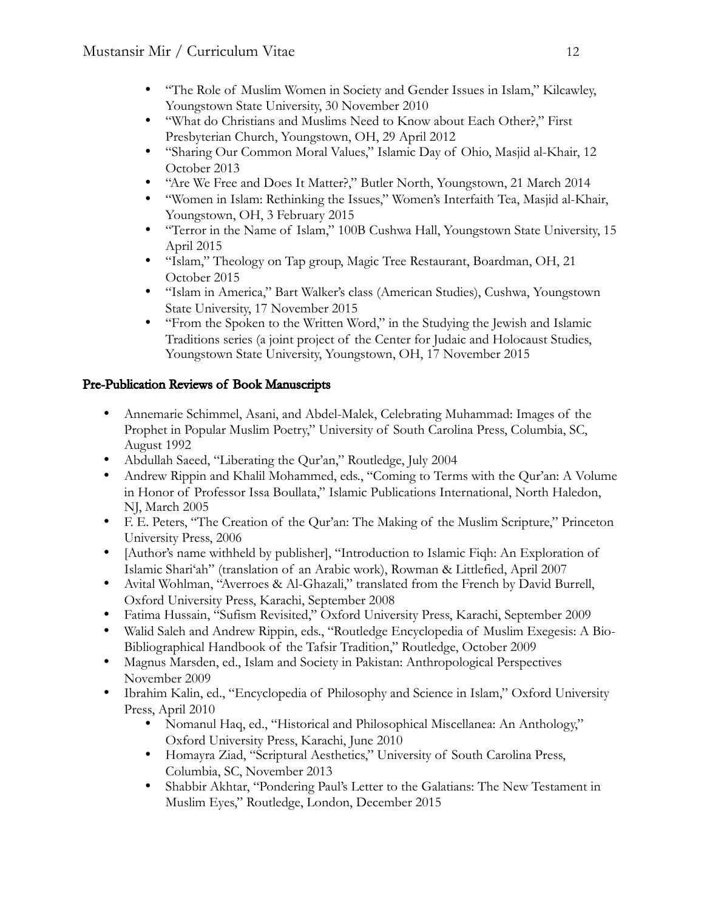- "The Role of Muslim Women in Society and Gender Issues in Islam," Kilcawley, Youngstown State University, 30 November 2010
- "What do Christians and Muslims Need to Know about Each Other?," First Presbyterian Church, Youngstown, OH, 29 April 2012
- "Sharing Our Common Moral Values," Islamic Day of Ohio, Masjid al-Khair, 12 October 2013
- "Are We Free and Does It Matter?," Butler North, Youngstown, 21 March 2014
- "Women in Islam: Rethinking the Issues," Women's Interfaith Tea, Masjid al-Khair, Youngstown, OH, 3 February 2015
- "Terror in the Name of Islam," 100B Cushwa Hall, Youngstown State University, 15 April 2015
- "Islam," Theology on Tap group, Magic Tree Restaurant, Boardman, OH, 21 October 2015
- "Islam in America," Bart Walker's class (American Studies), Cushwa, Youngstown State University, 17 November 2015
- "From the Spoken to the Written Word," in the Studying the Jewish and Islamic Traditions series (a joint project of the Center for Judaic and Holocaust Studies, Youngstown State University, Youngstown, OH, 17 November 2015

## Pre-Publication Reviews of Book Manuscripts

- Annemarie Schimmel, Asani, and Abdel-Malek, Celebrating Muhammad: Images of the Prophet in Popular Muslim Poetry," University of South Carolina Press, Columbia, SC, August 1992
- Abdullah Saeed, "Liberating the Qur'an," Routledge, July 2004
- Andrew Rippin and Khalil Mohammed, eds., "Coming to Terms with the Our'an: A Volume in Honor of Professor Issa Boullata," Islamic Publications International, North Haledon, NJ, March 2005
- F. E. Peters, "The Creation of the Qur'an: The Making of the Muslim Scripture," Princeton University Press, 2006
- [Author's name withheld by publisher], "Introduction to Islamic Fiqh: An Exploration of Islamic Shari'ah" (translation of an Arabic work), Rowman & Littlefied, April 2007
- Avital Wohlman, "Averroes & Al-Ghazali," translated from the French by David Burrell, Oxford University Press, Karachi, September 2008
- Fatima Hussain, "Sufism Revisited," Oxford University Press, Karachi, September 2009
- Walid Saleh and Andrew Rippin, eds., "Routledge Encyclopedia of Muslim Exegesis: A Bio-Bibliographical Handbook of the Tafsir Tradition," Routledge, October 2009
- Magnus Marsden, ed., Islam and Society in Pakistan: Anthropological Perspectives November 2009
- Ibrahim Kalin, ed., "Encyclopedia of Philosophy and Science in Islam," Oxford University Press, April 2010
	- Nomanul Haq, ed., "Historical and Philosophical Miscellanea: An Anthology," Oxford University Press, Karachi, June 2010
	- Homayra Ziad, "Scriptural Aesthetics," University of South Carolina Press, Columbia, SC, November 2013
	- Shabbir Akhtar, "Pondering Paul's Letter to the Galatians: The New Testament in Muslim Eyes," Routledge, London, December 2015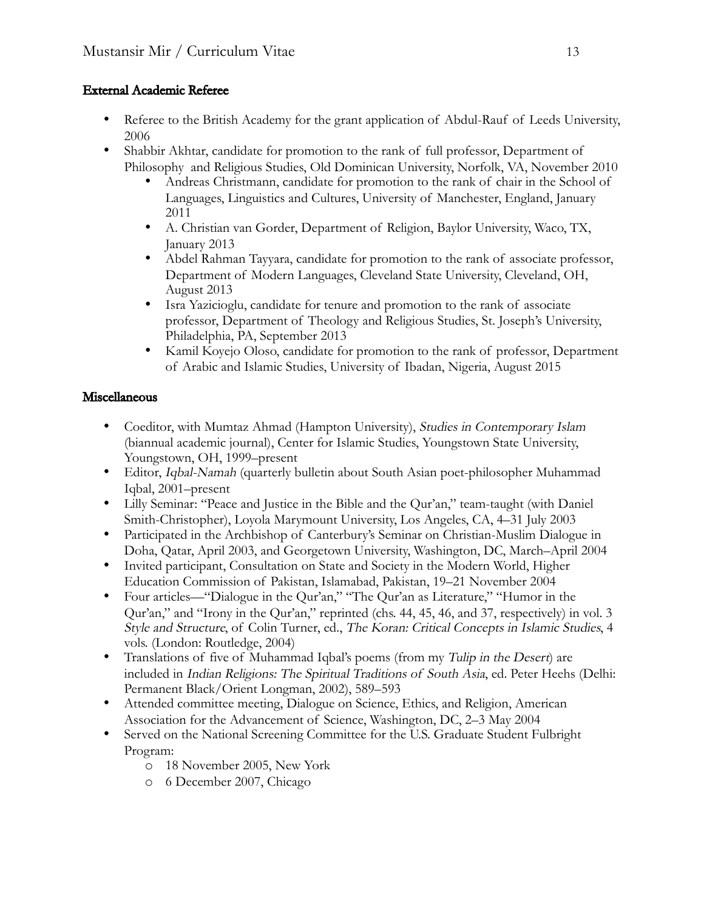## External Academic Referee

- Referee to the British Academy for the grant application of Abdul-Rauf of Leeds University, 2006
- Shabbir Akhtar, candidate for promotion to the rank of full professor, Department of Philosophy and Religious Studies, Old Dominican University, Norfolk, VA, November 2010
	- Andreas Christmann, candidate for promotion to the rank of chair in the School of Languages, Linguistics and Cultures, University of Manchester, England, January 2011
	- A. Christian van Gorder, Department of Religion, Baylor University, Waco, TX, January 2013
	- Abdel Rahman Tayyara, candidate for promotion to the rank of associate professor, Department of Modern Languages, Cleveland State University, Cleveland, OH, August 2013
	- Isra Yazicioglu, candidate for tenure and promotion to the rank of associate professor, Department of Theology and Religious Studies, St. Joseph's University, Philadelphia, PA, September 2013
	- Kamil Koyejo Oloso, candidate for promotion to the rank of professor, Department of Arabic and Islamic Studies, University of Ibadan, Nigeria, August 2015

## Miscellaneous

- Coeditor, with Mumtaz Ahmad (Hampton University), Studies in Contemporary Islam (biannual academic journal), Center for Islamic Studies, Youngstown State University, Youngstown, OH, 1999–present
- Editor, *Iqbal-Namah* (quarterly bulletin about South Asian poet-philosopher Muhammad Iqbal, 2001–present
- Lilly Seminar: "Peace and Justice in the Bible and the Qur'an," team-taught (with Daniel Smith-Christopher), Loyola Marymount University, Los Angeles, CA, 4–31 July 2003
- Participated in the Archbishop of Canterbury's Seminar on Christian-Muslim Dialogue in Doha, Qatar, April 2003, and Georgetown University, Washington, DC, March–April 2004
- Invited participant, Consultation on State and Society in the Modern World, Higher Education Commission of Pakistan, Islamabad, Pakistan, 19–21 November 2004
- Four articles—"Dialogue in the Qur'an," "The Qur'an as Literature," "Humor in the Qur'an," and "Irony in the Qur'an," reprinted (chs. 44, 45, 46, and 37, respectively) in vol. 3 Style and Structure, of Colin Turner, ed., The Koran: Critical Concepts in Islamic Studies, 4 vols. (London: Routledge, 2004)
- Translations of five of Muhammad Iqbal's poems (from my Tulip in the Desert) are included in Indian Religions: The Spiritual Traditions of South Asia, ed. Peter Heehs (Delhi: Permanent Black/Orient Longman, 2002), 589–593
- Attended committee meeting, Dialogue on Science, Ethics, and Religion, American Association for the Advancement of Science, Washington, DC, 2–3 May 2004
- Served on the National Screening Committee for the U.S. Graduate Student Fulbright Program:
	- o 18 November 2005, New York
	- o 6 December 2007, Chicago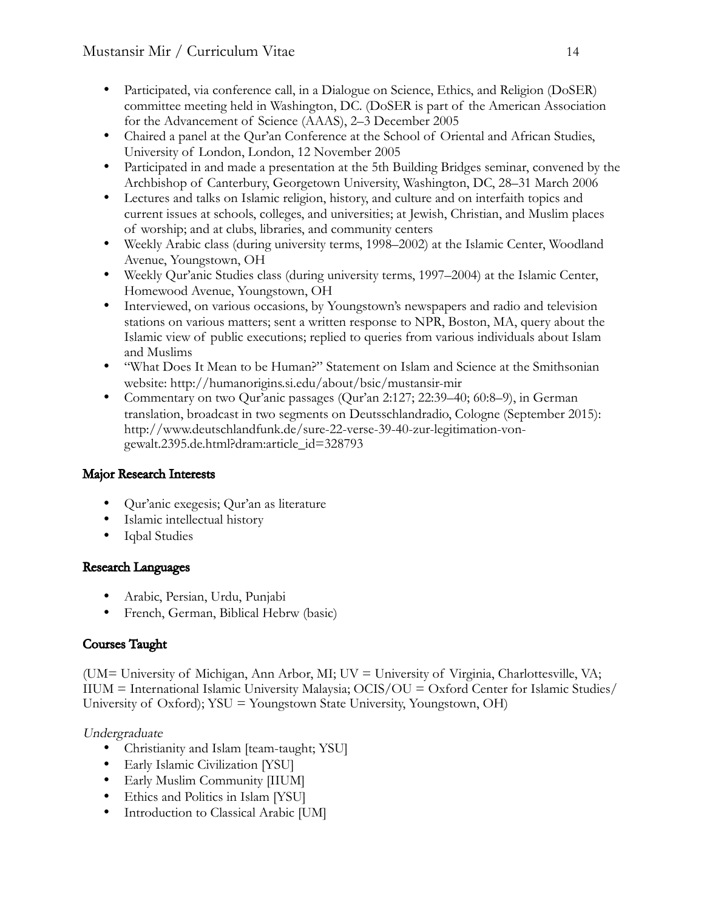- Participated, via conference call, in a Dialogue on Science, Ethics, and Religion (DoSER) committee meeting held in Washington, DC. (DoSER is part of the American Association for the Advancement of Science (AAAS), 2–3 December 2005
- Chaired a panel at the Qur'an Conference at the School of Oriental and African Studies, University of London, London, 12 November 2005
- Participated in and made a presentation at the 5th Building Bridges seminar, convened by the Archbishop of Canterbury, Georgetown University, Washington, DC, 28–31 March 2006
- Lectures and talks on Islamic religion, history, and culture and on interfaith topics and current issues at schools, colleges, and universities; at Jewish, Christian, and Muslim places of worship; and at clubs, libraries, and community centers
- Weekly Arabic class (during university terms, 1998–2002) at the Islamic Center, Woodland Avenue, Youngstown, OH
- Weekly Qur'anic Studies class (during university terms, 1997–2004) at the Islamic Center, Homewood Avenue, Youngstown, OH
- Interviewed, on various occasions, by Youngstown's newspapers and radio and television stations on various matters; sent a written response to NPR, Boston, MA, query about the Islamic view of public executions; replied to queries from various individuals about Islam and Muslims
- "What Does It Mean to be Human?" Statement on Islam and Science at the Smithsonian website: http://humanorigins.si.edu/about/bsic/mustansir-mir
- Commentary on two Qur'anic passages (Qur'an 2:127; 22:39–40; 60:8–9), in German translation, broadcast in two segments on Deutsschlandradio, Cologne (September 2015): http://www.deutschlandfunk.de/sure-22-verse-39-40-zur-legitimation-vongewalt.2395.de.html?dram:article\_id=328793

# Major Research Interests

- Qur'anic exegesis; Qur'an as literature
- Islamic intellectual history
- Iqbal Studies

# Research Languages

- Arabic, Persian, Urdu, Punjabi
- French, German, Biblical Hebrw (basic)

# Courses Taught

(UM= University of Michigan, Ann Arbor, MI; UV = University of Virginia, Charlottesville, VA; IIUM = International Islamic University Malaysia; OCIS/OU = Oxford Center for Islamic Studies/ University of Oxford); YSU = Youngstown State University, Youngstown, OH)

Undergraduate

- Christianity and Islam [team-taught; YSU]
- Early Islamic Civilization [YSU]
- Early Muslim Community [IIUM]
- Ethics and Politics in Islam [YSU]
- Introduction to Classical Arabic [UM]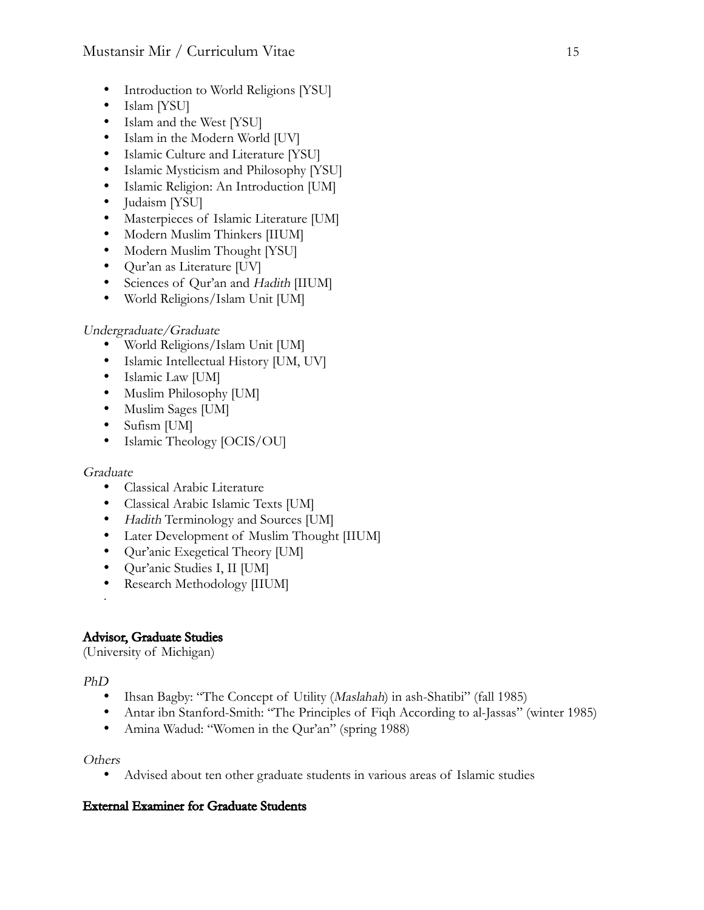- Introduction to World Religions [YSU]
- Islam [YSU]
- Islam and the West [YSU]
- Islam in the Modern World [UV]
- Islamic Culture and Literature [YSU]
- Islamic Mysticism and Philosophy [YSU]
- Islamic Religion: An Introduction [UM]
- Judaism [YSU]
- Masterpieces of Islamic Literature [UM]
- Modern Muslim Thinkers [IIUM]
- Modern Muslim Thought [YSU]
- Qur'an as Literature [UV]
- Sciences of Qur'an and Hadith [IIUM]
- World Religions/Islam Unit [UM]

## Undergraduate/Graduate

- World Religions/Islam Unit [UM]
- Islamic Intellectual History [UM, UV]
- Islamic Law [UM]
- Muslim Philosophy [UM]
- Muslim Sages [UM]
- Sufism [UM]
- Islamic Theology [OCIS/OU]

### Graduate

- Classical Arabic Literature
- Classical Arabic Islamic Texts [UM]
- Hadith Terminology and Sources [UM]
- Later Development of Muslim Thought [IIUM]
- Qur'anic Exegetical Theory [UM]
- Qur'anic Studies I, II [UM]
- Research Methodology [IIUM]

# Advisor, Graduate Studies

(University of Michigan)

## PhD

!

- Ihsan Bagby: "The Concept of Utility (Maslahah) in ash-Shatibi" (fall 1985)
- Antar ibn Stanford-Smith: "The Principles of Fiqh According to al-Jassas" (winter 1985)
- Amina Wadud: "Women in the Qur'an" (spring 1988)

### **Others**

• Advised about ten other graduate students in various areas of Islamic studies

## External Examiner for Graduate Students